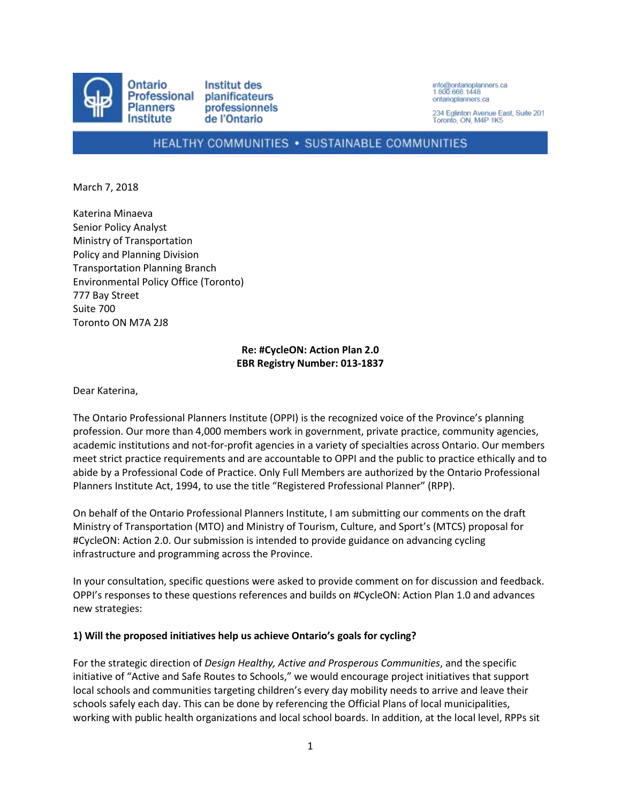

info@ontarioplanners.ca<br>1.800.668.1448 ontarioplanners ca

234 Eglinton Avenue East, Suite 201 Toronto, ON, M4P 1K5

# HEALTHY COMMUNITIES . SUSTAINABLE COMMUNITIES

March 7, 2018

Katerina Minaeva Senior Policy Analyst Ministry of Transportation Policy and Planning Division Transportation Planning Branch Environmental Policy Office (Toronto) 777 Bay Street Suite 700 Toronto ON M7A 2J8

## **Re: #CycleON: Action Plan 2.0 EBR Registry Number: 013-1837**

Dear Katerina,

The Ontario Professional Planners Institute (OPPI) is the recognized voice of the Province's planning profession. Our more than 4,000 members work in government, private practice, community agencies, academic institutions and not-for-profit agencies in a variety of specialties across Ontario. Our members meet strict practice requirements and are accountable to OPPI and the public to practice ethically and to abide by a Professional Code of Practice. Only Full Members are authorized by the Ontario Professional Planners Institute Act, 1994, to use the title "Registered Professional Planner" (RPP).

On behalf of the Ontario Professional Planners Institute, I am submitting our comments on the draft Ministry of Transportation (MTO) and Ministry of Tourism, Culture, and Sport's (MTCS) proposal for #CycleON: Action 2.0. Our submission is intended to provide guidance on advancing cycling infrastructure and programming across the Province.

In your consultation, specific questions were asked to provide comment on for discussion and feedback. OPPI's responses to these questions references and builds on #CycleON: Action Plan 1.0 and advances new strategies:

#### **1) Will the proposed initiatives help us achieve Ontario's goals for cycling?**

For the strategic direction of *Design Healthy, Active and Prosperous Communities*, and the specific initiative of "Active and Safe Routes to Schools," we would encourage project initiatives that support local schools and communities targeting children's every day mobility needs to arrive and leave their schools safely each day. This can be done by referencing the Official Plans of local municipalities, working with public health organizations and local school boards. In addition, at the local level, RPPs sit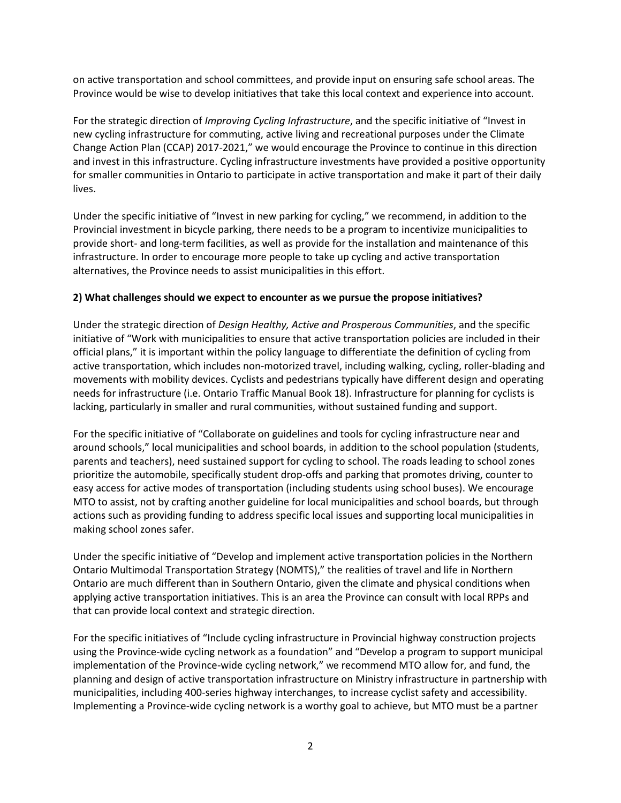on active transportation and school committees, and provide input on ensuring safe school areas. The Province would be wise to develop initiatives that take this local context and experience into account.

For the strategic direction of *Improving Cycling Infrastructure*, and the specific initiative of "Invest in new cycling infrastructure for commuting, active living and recreational purposes under the Climate Change Action Plan (CCAP) 2017-2021," we would encourage the Province to continue in this direction and invest in this infrastructure. Cycling infrastructure investments have provided a positive opportunity for smaller communities in Ontario to participate in active transportation and make it part of their daily lives.

Under the specific initiative of "Invest in new parking for cycling," we recommend, in addition to the Provincial investment in bicycle parking, there needs to be a program to incentivize municipalities to provide short- and long-term facilities, as well as provide for the installation and maintenance of this infrastructure. In order to encourage more people to take up cycling and active transportation alternatives, the Province needs to assist municipalities in this effort.

## **2) What challenges should we expect to encounter as we pursue the propose initiatives?**

Under the strategic direction of *Design Healthy, Active and Prosperous Communities*, and the specific initiative of "Work with municipalities to ensure that active transportation policies are included in their official plans," it is important within the policy language to differentiate the definition of cycling from active transportation, which includes non-motorized travel, including walking, cycling, roller-blading and movements with mobility devices. Cyclists and pedestrians typically have different design and operating needs for infrastructure (i.e. Ontario Traffic Manual Book 18). Infrastructure for planning for cyclists is lacking, particularly in smaller and rural communities, without sustained funding and support.

For the specific initiative of "Collaborate on guidelines and tools for cycling infrastructure near and around schools," local municipalities and school boards, in addition to the school population (students, parents and teachers), need sustained support for cycling to school. The roads leading to school zones prioritize the automobile, specifically student drop-offs and parking that promotes driving, counter to easy access for active modes of transportation (including students using school buses). We encourage MTO to assist, not by crafting another guideline for local municipalities and school boards, but through actions such as providing funding to address specific local issues and supporting local municipalities in making school zones safer.

Under the specific initiative of "Develop and implement active transportation policies in the Northern Ontario Multimodal Transportation Strategy (NOMTS)," the realities of travel and life in Northern Ontario are much different than in Southern Ontario, given the climate and physical conditions when applying active transportation initiatives. This is an area the Province can consult with local RPPs and that can provide local context and strategic direction.

For the specific initiatives of "Include cycling infrastructure in Provincial highway construction projects using the Province-wide cycling network as a foundation" and "Develop a program to support municipal implementation of the Province-wide cycling network," we recommend MTO allow for, and fund, the planning and design of active transportation infrastructure on Ministry infrastructure in partnership with municipalities, including 400-series highway interchanges, to increase cyclist safety and accessibility. Implementing a Province-wide cycling network is a worthy goal to achieve, but MTO must be a partner